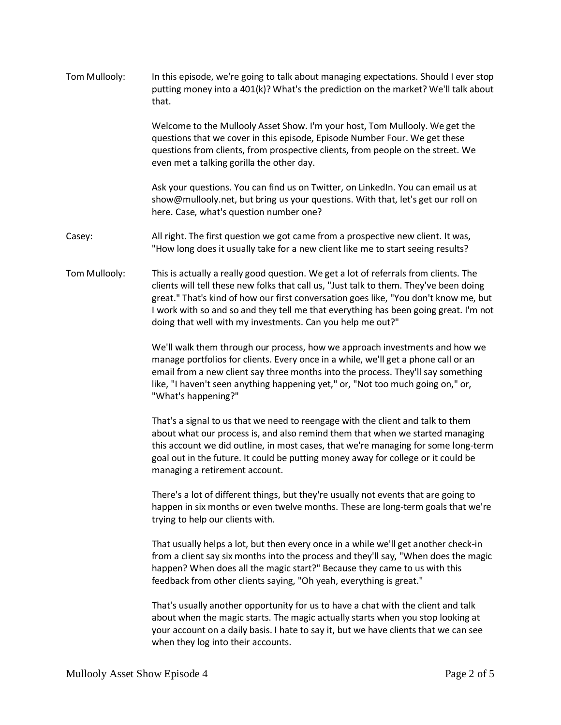| Tom Mullooly: | In this episode, we're going to talk about managing expectations. Should I ever stop<br>putting money into a 401(k)? What's the prediction on the market? We'll talk about<br>that.                                                                                                                                                                                                                                          |
|---------------|------------------------------------------------------------------------------------------------------------------------------------------------------------------------------------------------------------------------------------------------------------------------------------------------------------------------------------------------------------------------------------------------------------------------------|
|               | Welcome to the Mullooly Asset Show. I'm your host, Tom Mullooly. We get the<br>questions that we cover in this episode, Episode Number Four. We get these<br>questions from clients, from prospective clients, from people on the street. We<br>even met a talking gorilla the other day.                                                                                                                                    |
|               | Ask your questions. You can find us on Twitter, on LinkedIn. You can email us at<br>show@mullooly.net, but bring us your questions. With that, let's get our roll on<br>here. Case, what's question number one?                                                                                                                                                                                                              |
| Casey:        | All right. The first question we got came from a prospective new client. It was,<br>"How long does it usually take for a new client like me to start seeing results?                                                                                                                                                                                                                                                         |
| Tom Mullooly: | This is actually a really good question. We get a lot of referrals from clients. The<br>clients will tell these new folks that call us, "Just talk to them. They've been doing<br>great." That's kind of how our first conversation goes like, "You don't know me, but<br>I work with so and so and they tell me that everything has been going great. I'm not<br>doing that well with my investments. Can you help me out?" |
|               | We'll walk them through our process, how we approach investments and how we<br>manage portfolios for clients. Every once in a while, we'll get a phone call or an<br>email from a new client say three months into the process. They'll say something<br>like, "I haven't seen anything happening yet," or, "Not too much going on," or,<br>"What's happening?"                                                              |
|               | That's a signal to us that we need to reengage with the client and talk to them<br>about what our process is, and also remind them that when we started managing<br>this account we did outline, in most cases, that we're managing for some long-term<br>goal out in the future. It could be putting money away for college or it could be<br>managing a retirement account.                                                |
|               | There's a lot of different things, but they're usually not events that are going to<br>happen in six months or even twelve months. These are long-term goals that we're<br>trying to help our clients with.                                                                                                                                                                                                                  |
|               | That usually helps a lot, but then every once in a while we'll get another check-in<br>from a client say six months into the process and they'll say, "When does the magic<br>happen? When does all the magic start?" Because they came to us with this<br>feedback from other clients saying, "Oh yeah, everything is great."                                                                                               |
|               | That's usually another opportunity for us to have a chat with the client and talk<br>about when the magic starts. The magic actually starts when you stop looking at<br>your account on a daily basis. I hate to say it, but we have clients that we can see<br>when they log into their accounts.                                                                                                                           |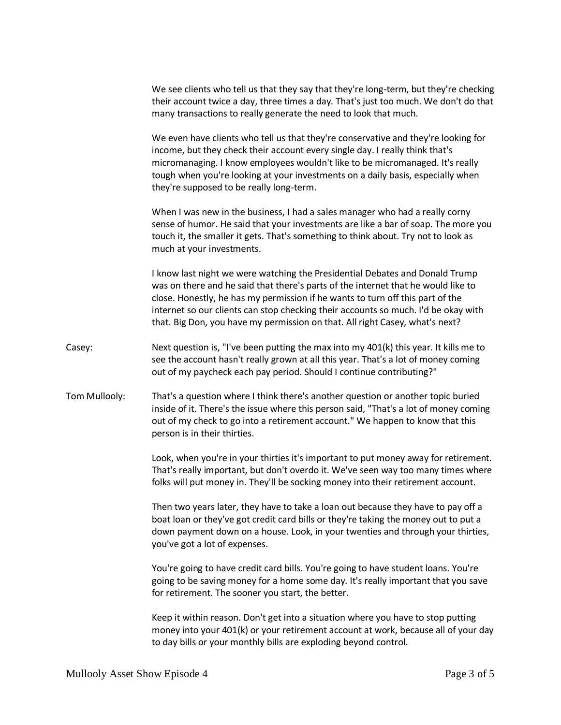We see clients who tell us that they say that they're long-term, but they're checking their account twice a day, three times a day. That's just too much. We don't do that many transactions to really generate the need to look that much.

We even have clients who tell us that they're conservative and they're looking for income, but they check their account every single day. I really think that's micromanaging. I know employees wouldn't like to be micromanaged. It's really tough when you're looking at your investments on a daily basis, especially when they're supposed to be really long-term.

When I was new in the business, I had a sales manager who had a really corny sense of humor. He said that your investments are like a bar of soap. The more you touch it, the smaller it gets. That's something to think about. Try not to look as much at your investments.

I know last night we were watching the Presidential Debates and Donald Trump was on there and he said that there's parts of the internet that he would like to close. Honestly, he has my permission if he wants to turn off this part of the internet so our clients can stop checking their accounts so much. I'd be okay with that. Big Don, you have my permission on that. All right Casey, what's next?

- Casey: Next question is, "I've been putting the max into my 401(k) this year. It kills me to see the account hasn't really grown at all this year. That's a lot of money coming out of my paycheck each pay period. Should I continue contributing?"
- Tom Mullooly: That's a question where I think there's another question or another topic buried inside of it. There's the issue where this person said, "That's a lot of money coming out of my check to go into a retirement account." We happen to know that this person is in their thirties.

Look, when you're in your thirties it's important to put money away for retirement. That's really important, but don't overdo it. We've seen way too many times where folks will put money in. They'll be socking money into their retirement account.

Then two years later, they have to take a loan out because they have to pay off a boat loan or they've got credit card bills or they're taking the money out to put a down payment down on a house. Look, in your twenties and through your thirties, you've got a lot of expenses.

You're going to have credit card bills. You're going to have student loans. You're going to be saving money for a home some day. It's really important that you save for retirement. The sooner you start, the better.

Keep it within reason. Don't get into a situation where you have to stop putting money into your 401(k) or your retirement account at work, because all of your day to day bills or your monthly bills are exploding beyond control.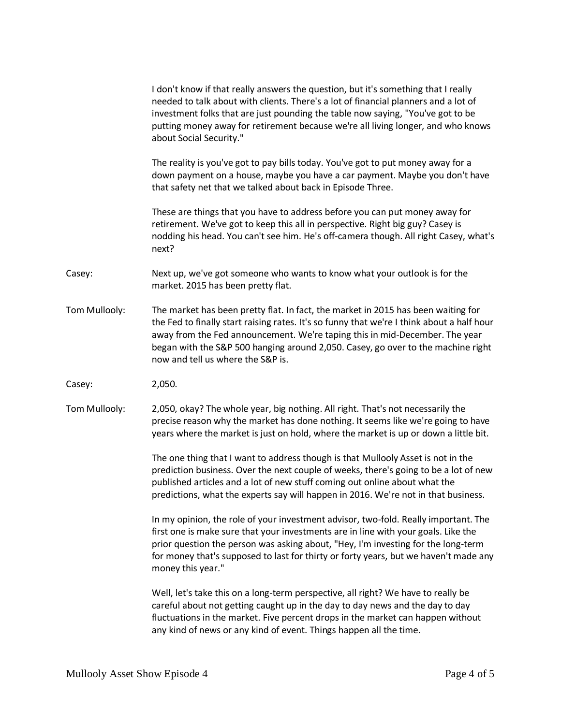|               | I don't know if that really answers the question, but it's something that I really<br>needed to talk about with clients. There's a lot of financial planners and a lot of<br>investment folks that are just pounding the table now saying, "You've got to be<br>putting money away for retirement because we're all living longer, and who knows<br>about Social Security."             |
|---------------|-----------------------------------------------------------------------------------------------------------------------------------------------------------------------------------------------------------------------------------------------------------------------------------------------------------------------------------------------------------------------------------------|
|               | The reality is you've got to pay bills today. You've got to put money away for a<br>down payment on a house, maybe you have a car payment. Maybe you don't have<br>that safety net that we talked about back in Episode Three.                                                                                                                                                          |
|               | These are things that you have to address before you can put money away for<br>retirement. We've got to keep this all in perspective. Right big guy? Casey is<br>nodding his head. You can't see him. He's off-camera though. All right Casey, what's<br>next?                                                                                                                          |
| Casey:        | Next up, we've got someone who wants to know what your outlook is for the<br>market. 2015 has been pretty flat.                                                                                                                                                                                                                                                                         |
| Tom Mullooly: | The market has been pretty flat. In fact, the market in 2015 has been waiting for<br>the Fed to finally start raising rates. It's so funny that we're I think about a half hour<br>away from the Fed announcement. We're taping this in mid-December. The year<br>began with the S&P 500 hanging around 2,050. Casey, go over to the machine right<br>now and tell us where the S&P is. |
| Casey:        | 2,050.                                                                                                                                                                                                                                                                                                                                                                                  |
| Tom Mullooly: | 2,050, okay? The whole year, big nothing. All right. That's not necessarily the<br>precise reason why the market has done nothing. It seems like we're going to have<br>years where the market is just on hold, where the market is up or down a little bit.                                                                                                                            |
|               | The one thing that I want to address though is that Mullooly Asset is not in the<br>prediction business. Over the next couple of weeks, there's going to be a lot of new<br>published articles and a lot of new stuff coming out online about what the<br>predictions, what the experts say will happen in 2016. We're not in that business.                                            |
|               | In my opinion, the role of your investment advisor, two-fold. Really important. The<br>first one is make sure that your investments are in line with your goals. Like the<br>prior question the person was asking about, "Hey, I'm investing for the long-term<br>for money that's supposed to last for thirty or forty years, but we haven't made any<br>money this year."             |
|               | Well, let's take this on a long-term perspective, all right? We have to really be<br>careful about not getting caught up in the day to day news and the day to day<br>fluctuations in the market. Five percent drops in the market can happen without<br>any kind of news or any kind of event. Things happen all the time.                                                             |